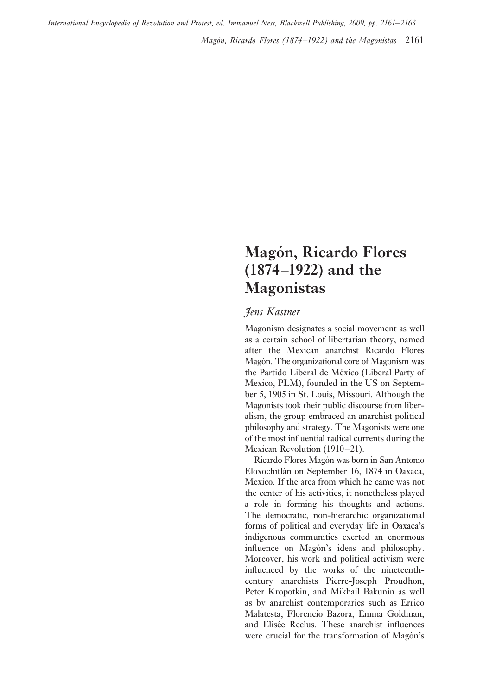*Magón, Ricardo Flores (1874–1922) and the Magonistas* 2161 *International Encyclopedia of Revolution and Protest, ed. Immanuel Ness, Blackwell Publishing, 2009, pp. 2161–2163*

## **Magón, Ricardo Flores (1874–1922) and the Magonistas**

## *Jens Kastner*

Magonism designates a social movement as well as a certain school of libertarian theory, named after the Mexican anarchist Ricardo Flores Magón. The organizational core of Magonism was the Partido Liberal de México (Liberal Party of Mexico, PLM), founded in the US on September 5, 1905 in St. Louis, Missouri. Although the Magonists took their public discourse from liberalism, the group embraced an anarchist political philosophy and strategy. The Magonists were one of the most influential radical currents during the Mexican Revolution (1910–21).

Ricardo Flores Magón was born in San Antonio Eloxochitlán on September 16, 1874 in Oaxaca, Mexico. If the area from which he came was not the center of his activities, it nonetheless played a role in forming his thoughts and actions. The democratic, non-hierarchic organizational forms of political and everyday life in Oaxaca's indigenous communities exerted an enormous influence on Magón's ideas and philosophy. Moreover, his work and political activism were influenced by the works of the nineteenthcentury anarchists Pierre-Joseph Proudhon, Peter Kropotkin, and Mikhail Bakunin as well as by anarchist contemporaries such as Errico Malatesta, Florencio Bazora, Emma Goldman, and Elisée Reclus. These anarchist influences were crucial for the transformation of Magón's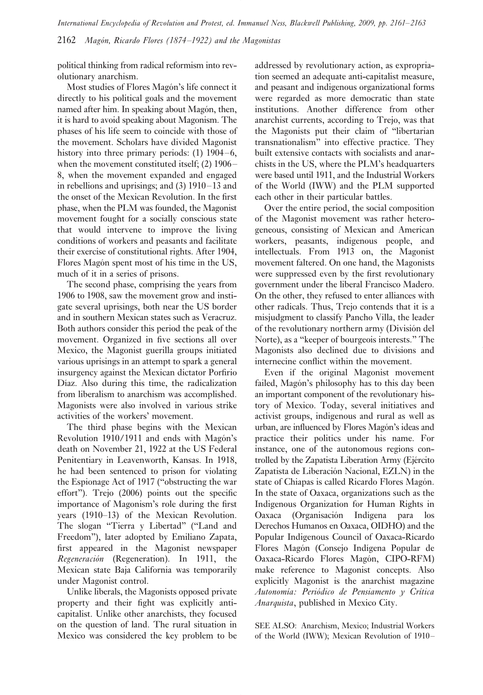*International Encyclopedia of Revolution and Protest, ed. Immanuel Ness, Blackwell Publishing, 2009, pp. 2161–2163*

2162 *Magón, Ricardo Flores (1874–1922) and the Magonistas*

political thinking from radical reformism into revolutionary anarchism.

Most studies of Flores Magón's life connect it directly to his political goals and the movement named after him. In speaking about Magón, then, it is hard to avoid speaking about Magonism. The phases of his life seem to coincide with those of the movement. Scholars have divided Magonist history into three primary periods: (1) 1904–6, when the movement constituted itself; (2) 1906– 8, when the movement expanded and engaged in rebellions and uprisings; and (3) 1910–13 and the onset of the Mexican Revolution. In the first phase, when the PLM was founded, the Magonist movement fought for a socially conscious state that would intervene to improve the living conditions of workers and peasants and facilitate their exercise of constitutional rights. After 1904, Flores Magón spent most of his time in the US, much of it in a series of prisons.

The second phase, comprising the years from 1906 to 1908, saw the movement grow and instigate several uprisings, both near the US border and in southern Mexican states such as Veracruz. Both authors consider this period the peak of the movement. Organized in five sections all over Mexico, the Magonist guerilla groups initiated various uprisings in an attempt to spark a general insurgency against the Mexican dictator Porfirio Díaz. Also during this time, the radicalization from liberalism to anarchism was accomplished. Magonists were also involved in various strike activities of the workers' movement.

The third phase begins with the Mexican Revolution 1910/1911 and ends with Magón's death on November 21, 1922 at the US Federal Penitentiary in Leavenworth, Kansas. In 1918, he had been sentenced to prison for violating the Espionage Act of 1917 ("obstructing the war effort"). Trejo (2006) points out the specific importance of Magonism's role during the first years (1910–13) of the Mexican Revolution. The slogan "Tierra y Libertad" ("Land and Freedom"), later adopted by Emiliano Zapata, first appeared in the Magonist newspaper *Regeneración* (Regeneration). In 1911, the Mexican state Baja California was temporarily under Magonist control.

Unlike liberals, the Magonists opposed private property and their fight was explicitly anticapitalist. Unlike other anarchists, they focused on the question of land. The rural situation in Mexico was considered the key problem to be addressed by revolutionary action, as expropriation seemed an adequate anti-capitalist measure, and peasant and indigenous organizational forms were regarded as more democratic than state institutions. Another difference from other anarchist currents, according to Trejo, was that the Magonists put their claim of "libertarian transnationalism" into effective practice. They built extensive contacts with socialists and anarchists in the US, where the PLM's headquarters were based until 1911, and the Industrial Workers of the World (IWW) and the PLM supported each other in their particular battles.

Over the entire period, the social composition of the Magonist movement was rather heterogeneous, consisting of Mexican and American workers, peasants, indigenous people, and intellectuals. From 1913 on, the Magonist movement faltered. On one hand, the Magonists were suppressed even by the first revolutionary government under the liberal Francisco Madero. On the other, they refused to enter alliances with other radicals. Thus, Trejo contends that it is a misjudgment to classify Pancho Villa, the leader of the revolutionary northern army (División del Norte), as a "keeper of bourgeois interests." The Magonists also declined due to divisions and internecine conflict within the movement.

Even if the original Magonist movement failed, Magón's philosophy has to this day been an important component of the revolutionary history of Mexico. Today, several initiatives and activist groups, indigenous and rural as well as urban, are influenced by Flores Magón's ideas and practice their politics under his name. For instance, one of the autonomous regions controlled by the Zapatista Liberation Army (Ejército Zapatista de Liberación Nacional, EZLN) in the state of Chiapas is called Ricardo Flores Magón. In the state of Oaxaca, organizations such as the Indigenous Organization for Human Rights in Oaxaca (Organisación Indígena para los Derechos Humanos en Oaxaca, OIDHO) and the Popular Indigenous Council of Oaxaca-Ricardo Flores Magón (Consejo Indígena Popular de Oaxaca-Ricardo Flores Magón, CIPO-RFM) make reference to Magonist concepts. Also explicitly Magonist is the anarchist magazine *Autonomía: Periódico de Pensiamento y Crítica Anarquista*, published in Mexico City.

SEE ALSO: Anarchism, Mexico; Industrial Workers of the World (IWW); Mexican Revolution of 1910–